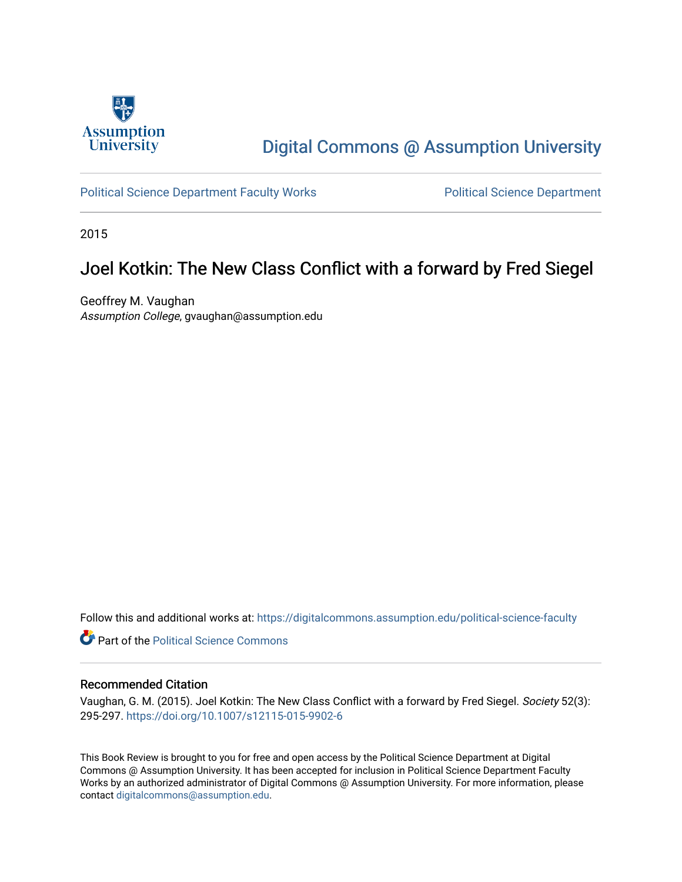

## [Digital Commons @ Assumption University](https://digitalcommons.assumption.edu/)

[Political Science Department Faculty Works](https://digitalcommons.assumption.edu/political-science-faculty) **Political Science Department** 

2015

## Joel Kotkin: The New Class Conflict with a forward by Fred Siegel

Geoffrey M. Vaughan Assumption College, gvaughan@assumption.edu

Follow this and additional works at: [https://digitalcommons.assumption.edu/political-science-faculty](https://digitalcommons.assumption.edu/political-science-faculty?utm_source=digitalcommons.assumption.edu%2Fpolitical-science-faculty%2F51&utm_medium=PDF&utm_campaign=PDFCoverPages)

**Part of the Political Science Commons** 

## Recommended Citation

Vaughan, G. M. (2015). Joel Kotkin: The New Class Conflict with a forward by Fred Siegel. Society 52(3): 295-297. <https://doi.org/10.1007/s12115-015-9902-6>

This Book Review is brought to you for free and open access by the Political Science Department at Digital Commons @ Assumption University. It has been accepted for inclusion in Political Science Department Faculty Works by an authorized administrator of Digital Commons @ Assumption University. For more information, please contact [digitalcommons@assumption.edu.](mailto:digitalcommons@assumption.edu)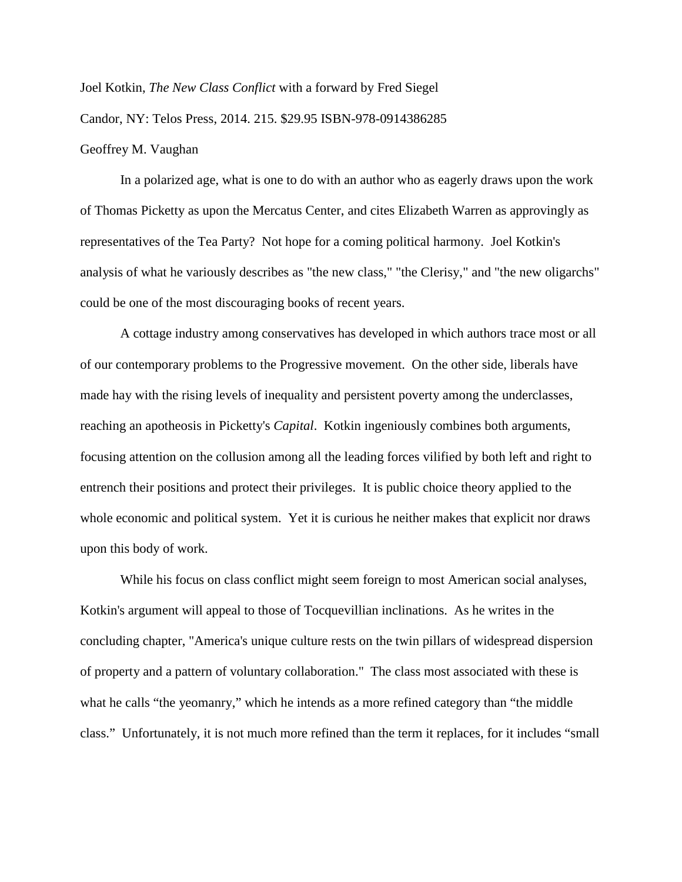Joel Kotkin, *The New Class Conflict* with a forward by Fred Siegel Candor, NY: Telos Press, 2014. 215. \$29.95 ISBN-978-0914386285 Geoffrey M. Vaughan

In a polarized age, what is one to do with an author who as eagerly draws upon the work of Thomas Picketty as upon the Mercatus Center, and cites Elizabeth Warren as approvingly as representatives of the Tea Party? Not hope for a coming political harmony. Joel Kotkin's analysis of what he variously describes as "the new class," "the Clerisy," and "the new oligarchs" could be one of the most discouraging books of recent years.

A cottage industry among conservatives has developed in which authors trace most or all of our contemporary problems to the Progressive movement. On the other side, liberals have made hay with the rising levels of inequality and persistent poverty among the underclasses, reaching an apotheosis in Picketty's *Capital*. Kotkin ingeniously combines both arguments, focusing attention on the collusion among all the leading forces vilified by both left and right to entrench their positions and protect their privileges. It is public choice theory applied to the whole economic and political system. Yet it is curious he neither makes that explicit nor draws upon this body of work.

While his focus on class conflict might seem foreign to most American social analyses, Kotkin's argument will appeal to those of Tocquevillian inclinations. As he writes in the concluding chapter, "America's unique culture rests on the twin pillars of widespread dispersion of property and a pattern of voluntary collaboration." The class most associated with these is what he calls "the yeomanry," which he intends as a more refined category than "the middle class." Unfortunately, it is not much more refined than the term it replaces, for it includes "small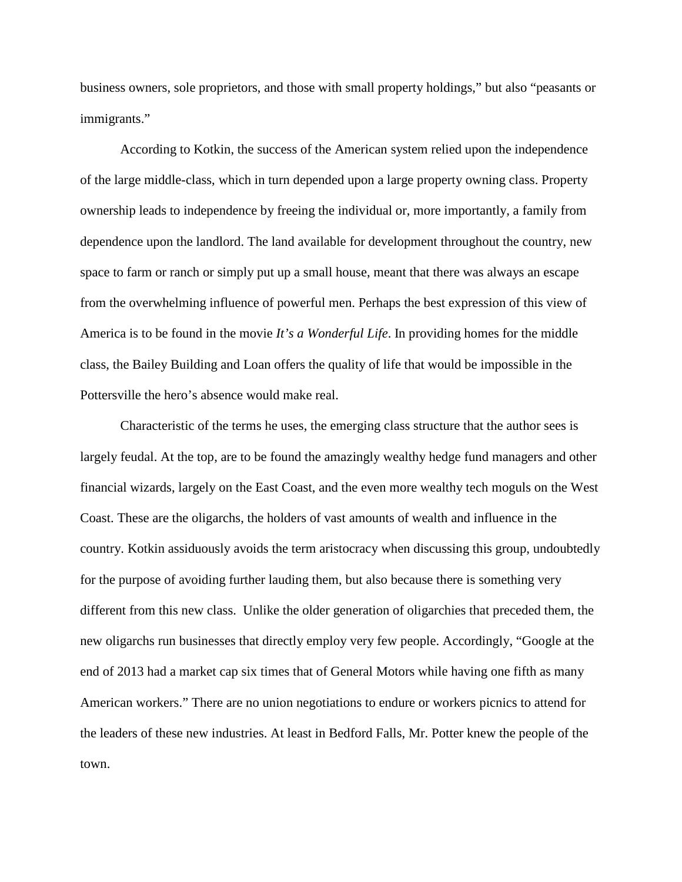business owners, sole proprietors, and those with small property holdings," but also "peasants or immigrants."

According to Kotkin, the success of the American system relied upon the independence of the large middle-class, which in turn depended upon a large property owning class. Property ownership leads to independence by freeing the individual or, more importantly, a family from dependence upon the landlord. The land available for development throughout the country, new space to farm or ranch or simply put up a small house, meant that there was always an escape from the overwhelming influence of powerful men. Perhaps the best expression of this view of America is to be found in the movie *It's a Wonderful Life*. In providing homes for the middle class, the Bailey Building and Loan offers the quality of life that would be impossible in the Pottersville the hero's absence would make real.

Characteristic of the terms he uses, the emerging class structure that the author sees is largely feudal. At the top, are to be found the amazingly wealthy hedge fund managers and other financial wizards, largely on the East Coast, and the even more wealthy tech moguls on the West Coast. These are the oligarchs, the holders of vast amounts of wealth and influence in the country. Kotkin assiduously avoids the term aristocracy when discussing this group, undoubtedly for the purpose of avoiding further lauding them, but also because there is something very different from this new class. Unlike the older generation of oligarchies that preceded them, the new oligarchs run businesses that directly employ very few people. Accordingly, "Google at the end of 2013 had a market cap six times that of General Motors while having one fifth as many American workers." There are no union negotiations to endure or workers picnics to attend for the leaders of these new industries. At least in Bedford Falls, Mr. Potter knew the people of the town.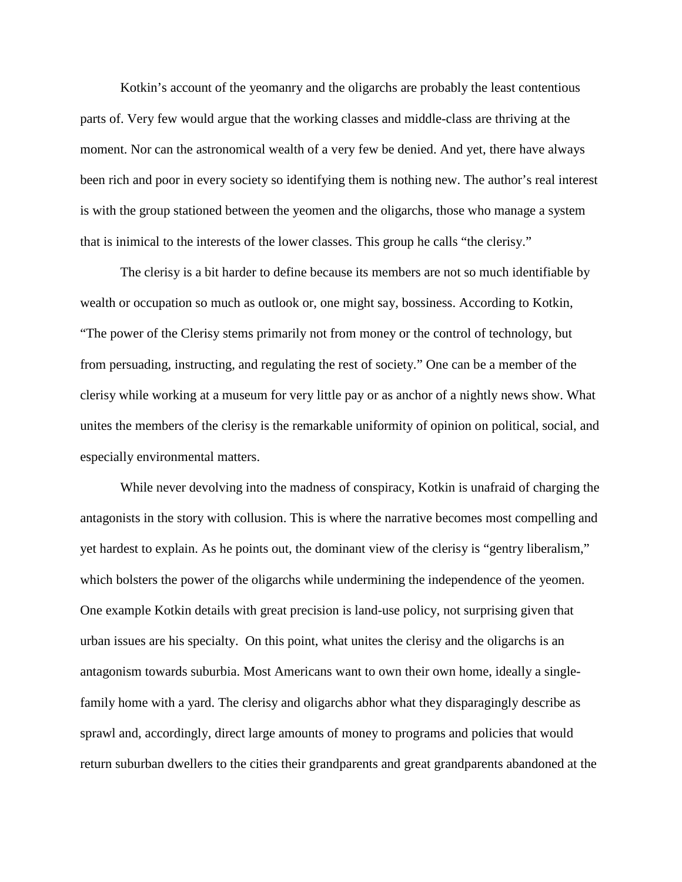Kotkin's account of the yeomanry and the oligarchs are probably the least contentious parts of. Very few would argue that the working classes and middle-class are thriving at the moment. Nor can the astronomical wealth of a very few be denied. And yet, there have always been rich and poor in every society so identifying them is nothing new. The author's real interest is with the group stationed between the yeomen and the oligarchs, those who manage a system that is inimical to the interests of the lower classes. This group he calls "the clerisy."

The clerisy is a bit harder to define because its members are not so much identifiable by wealth or occupation so much as outlook or, one might say, bossiness. According to Kotkin, "The power of the Clerisy stems primarily not from money or the control of technology, but from persuading, instructing, and regulating the rest of society." One can be a member of the clerisy while working at a museum for very little pay or as anchor of a nightly news show. What unites the members of the clerisy is the remarkable uniformity of opinion on political, social, and especially environmental matters.

While never devolving into the madness of conspiracy, Kotkin is unafraid of charging the antagonists in the story with collusion. This is where the narrative becomes most compelling and yet hardest to explain. As he points out, the dominant view of the clerisy is "gentry liberalism," which bolsters the power of the oligarchs while undermining the independence of the yeomen. One example Kotkin details with great precision is land-use policy, not surprising given that urban issues are his specialty. On this point, what unites the clerisy and the oligarchs is an antagonism towards suburbia. Most Americans want to own their own home, ideally a singlefamily home with a yard. The clerisy and oligarchs abhor what they disparagingly describe as sprawl and, accordingly, direct large amounts of money to programs and policies that would return suburban dwellers to the cities their grandparents and great grandparents abandoned at the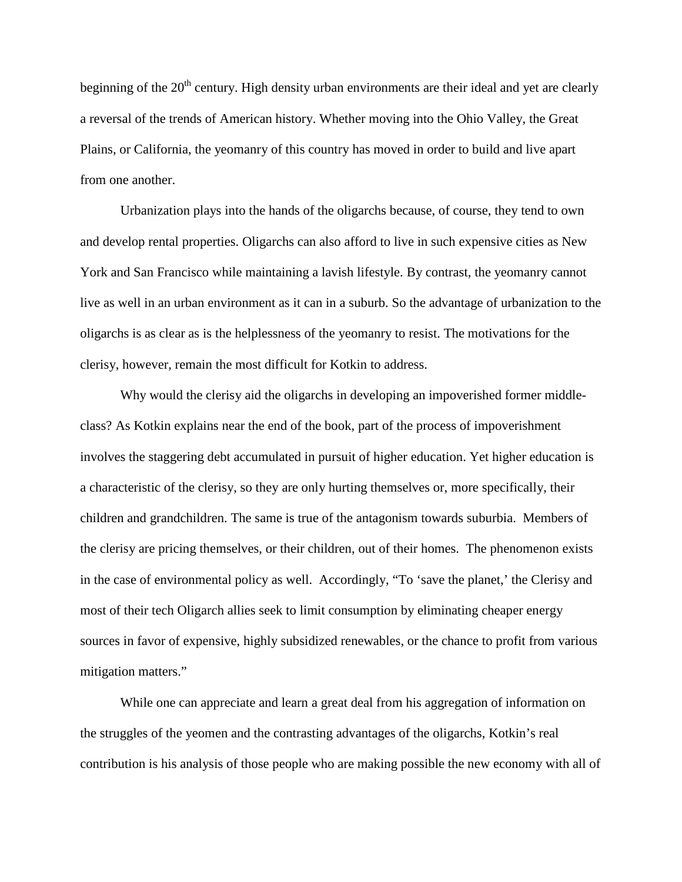beginning of the  $20<sup>th</sup>$  century. High density urban environments are their ideal and yet are clearly a reversal of the trends of American history. Whether moving into the Ohio Valley, the Great Plains, or California, the yeomanry of this country has moved in order to build and live apart from one another.

Urbanization plays into the hands of the oligarchs because, of course, they tend to own and develop rental properties. Oligarchs can also afford to live in such expensive cities as New York and San Francisco while maintaining a lavish lifestyle. By contrast, the yeomanry cannot live as well in an urban environment as it can in a suburb. So the advantage of urbanization to the oligarchs is as clear as is the helplessness of the yeomanry to resist. The motivations for the clerisy, however, remain the most difficult for Kotkin to address.

Why would the clerisy aid the oligarchs in developing an impoverished former middleclass? As Kotkin explains near the end of the book, part of the process of impoverishment involves the staggering debt accumulated in pursuit of higher education. Yet higher education is a characteristic of the clerisy, so they are only hurting themselves or, more specifically, their children and grandchildren. The same is true of the antagonism towards suburbia. Members of the clerisy are pricing themselves, or their children, out of their homes. The phenomenon exists in the case of environmental policy as well. Accordingly, "To 'save the planet,' the Clerisy and most of their tech Oligarch allies seek to limit consumption by eliminating cheaper energy sources in favor of expensive, highly subsidized renewables, or the chance to profit from various mitigation matters."

While one can appreciate and learn a great deal from his aggregation of information on the struggles of the yeomen and the contrasting advantages of the oligarchs, Kotkin's real contribution is his analysis of those people who are making possible the new economy with all of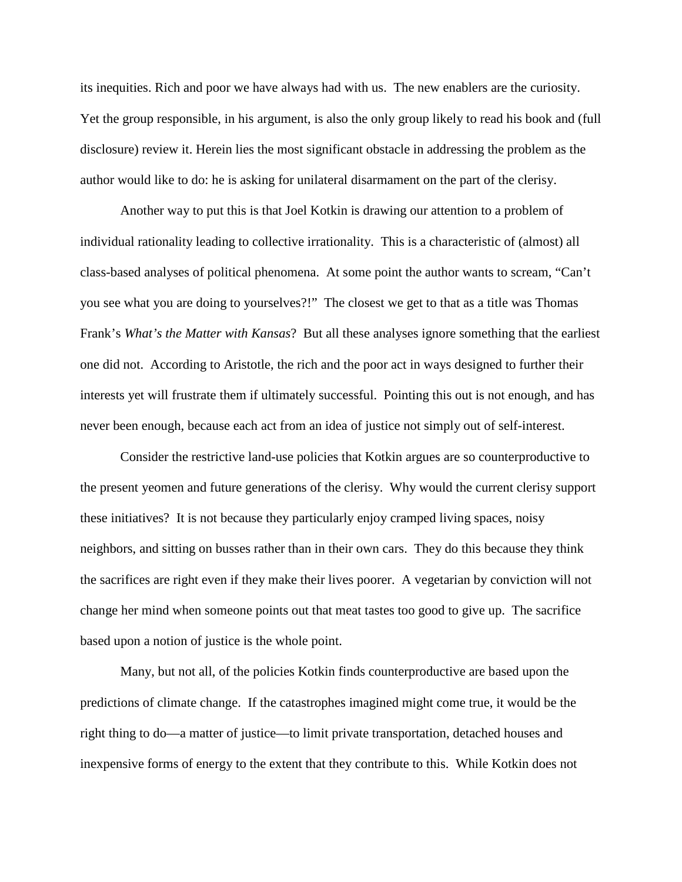its inequities. Rich and poor we have always had with us. The new enablers are the curiosity. Yet the group responsible, in his argument, is also the only group likely to read his book and (full disclosure) review it. Herein lies the most significant obstacle in addressing the problem as the author would like to do: he is asking for unilateral disarmament on the part of the clerisy.

Another way to put this is that Joel Kotkin is drawing our attention to a problem of individual rationality leading to collective irrationality. This is a characteristic of (almost) all class-based analyses of political phenomena. At some point the author wants to scream, "Can't you see what you are doing to yourselves?!" The closest we get to that as a title was Thomas Frank's *What's the Matter with Kansas*? But all these analyses ignore something that the earliest one did not. According to Aristotle, the rich and the poor act in ways designed to further their interests yet will frustrate them if ultimately successful. Pointing this out is not enough, and has never been enough, because each act from an idea of justice not simply out of self-interest.

Consider the restrictive land-use policies that Kotkin argues are so counterproductive to the present yeomen and future generations of the clerisy. Why would the current clerisy support these initiatives? It is not because they particularly enjoy cramped living spaces, noisy neighbors, and sitting on busses rather than in their own cars. They do this because they think the sacrifices are right even if they make their lives poorer. A vegetarian by conviction will not change her mind when someone points out that meat tastes too good to give up. The sacrifice based upon a notion of justice is the whole point.

Many, but not all, of the policies Kotkin finds counterproductive are based upon the predictions of climate change. If the catastrophes imagined might come true, it would be the right thing to do—a matter of justice—to limit private transportation, detached houses and inexpensive forms of energy to the extent that they contribute to this. While Kotkin does not